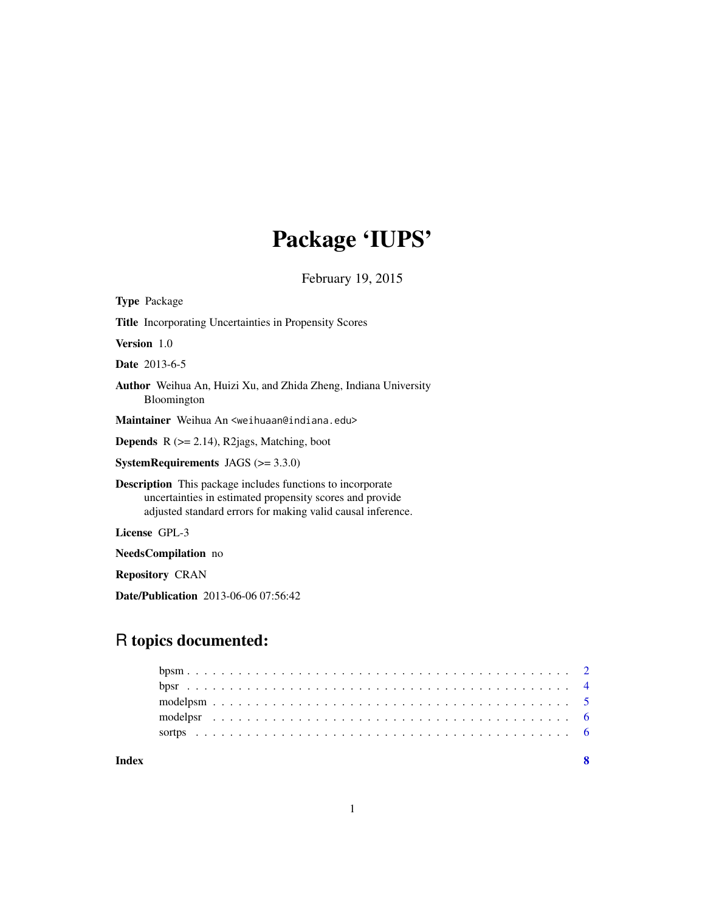## Package 'IUPS'

February 19, 2015

<span id="page-0-0"></span>

| <b>Type Package</b>                                                                                                                                                                          |
|----------------------------------------------------------------------------------------------------------------------------------------------------------------------------------------------|
| Title Incorporating Uncertainties in Propensity Scores                                                                                                                                       |
| <b>Version</b> 1.0                                                                                                                                                                           |
| <b>Date</b> 2013-6-5                                                                                                                                                                         |
| <b>Author</b> Weihua An, Huizi Xu, and Zhida Zheng, Indiana University<br><b>Bloomington</b>                                                                                                 |
| Maintainer Weihua An <weihuaan@indiana.edu></weihuaan@indiana.edu>                                                                                                                           |
| <b>Depends</b> $R$ ( $>= 2.14$ ), R2jags, Matching, boot                                                                                                                                     |
| <b>SystemRequirements</b> JAGS $(>= 3.3.0)$                                                                                                                                                  |
| <b>Description</b> This package includes functions to incorporate<br>uncertainties in estimated propensity scores and provide<br>adjusted standard errors for making valid causal inference. |
| License GPL-3                                                                                                                                                                                |
| NeedsCompilation no                                                                                                                                                                          |
| <b>Repository CRAN</b>                                                                                                                                                                       |

Date/Publication 2013-06-06 07:56:42

## R topics documented:

| Index |  |  |  |  |  |  |  |  |  |  |  |  |  |  |  |  |  |  |  |  |  |  |
|-------|--|--|--|--|--|--|--|--|--|--|--|--|--|--|--|--|--|--|--|--|--|--|
|       |  |  |  |  |  |  |  |  |  |  |  |  |  |  |  |  |  |  |  |  |  |  |
|       |  |  |  |  |  |  |  |  |  |  |  |  |  |  |  |  |  |  |  |  |  |  |
|       |  |  |  |  |  |  |  |  |  |  |  |  |  |  |  |  |  |  |  |  |  |  |
|       |  |  |  |  |  |  |  |  |  |  |  |  |  |  |  |  |  |  |  |  |  |  |
|       |  |  |  |  |  |  |  |  |  |  |  |  |  |  |  |  |  |  |  |  |  |  |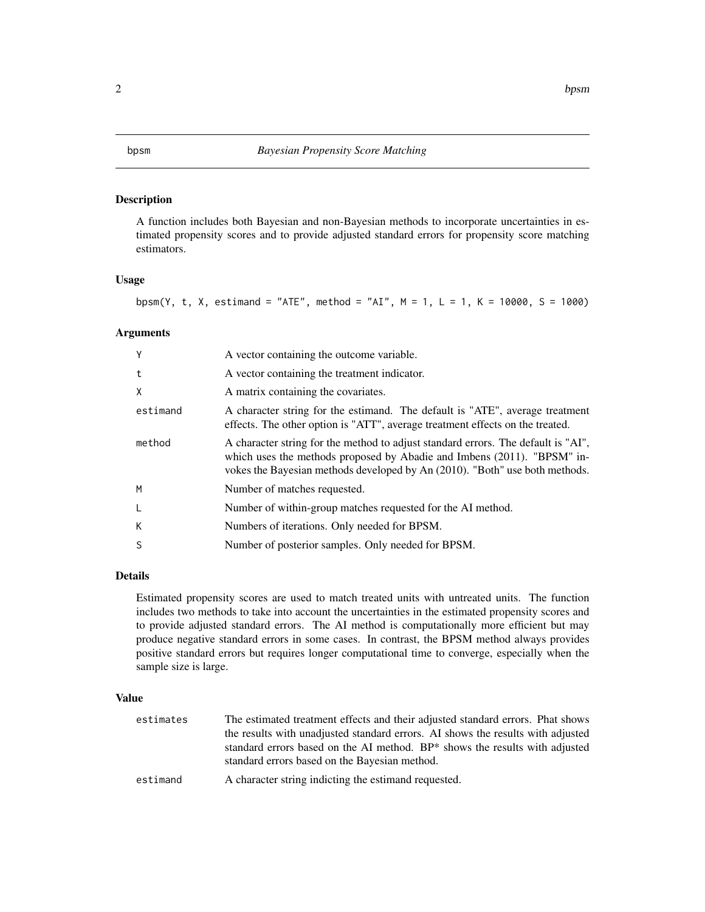#### <span id="page-1-1"></span><span id="page-1-0"></span>bpsm *Bayesian Propensity Score Matching*

#### Description

A function includes both Bayesian and non-Bayesian methods to incorporate uncertainties in estimated propensity scores and to provide adjusted standard errors for propensity score matching estimators.

#### Usage

bpsm(Y, t, X, estimand = "ATE", method = "AI", M = 1, L = 1, K = 10000, S = 1000)

#### Arguments

| Y        | A vector containing the outcome variable.                                                                                                                                                                                                   |
|----------|---------------------------------------------------------------------------------------------------------------------------------------------------------------------------------------------------------------------------------------------|
| t        | A vector containing the treatment indicator.                                                                                                                                                                                                |
| X        | A matrix containing the covariates.                                                                                                                                                                                                         |
| estimand | A character string for the estimand. The default is "ATE", average treatment<br>effects. The other option is "ATT", average treatment effects on the treated.                                                                               |
| method   | A character string for the method to adjust standard errors. The default is "AI",<br>which uses the methods proposed by Abadie and Imbens (2011). "BPSM" in-<br>vokes the Bayesian methods developed by An (2010). "Both" use both methods. |
| M        | Number of matches requested.                                                                                                                                                                                                                |
| L        | Number of within-group matches requested for the AI method.                                                                                                                                                                                 |
| К        | Numbers of iterations. Only needed for BPSM.                                                                                                                                                                                                |
| S        | Number of posterior samples. Only needed for BPSM.                                                                                                                                                                                          |

#### Details

Estimated propensity scores are used to match treated units with untreated units. The function includes two methods to take into account the uncertainties in the estimated propensity scores and to provide adjusted standard errors. The AI method is computationally more efficient but may produce negative standard errors in some cases. In contrast, the BPSM method always provides positive standard errors but requires longer computational time to converge, especially when the sample size is large.

#### Value

| estimates | The estimated treatment effects and their adjusted standard errors. Phat shows                                               |
|-----------|------------------------------------------------------------------------------------------------------------------------------|
|           | the results with unadjusted standard errors. AI shows the results with adjusted                                              |
|           | standard errors based on the AI method. BP* shows the results with adjusted<br>standard errors based on the Bayesian method. |
| estimand  | A character string indicting the estimand requested.                                                                         |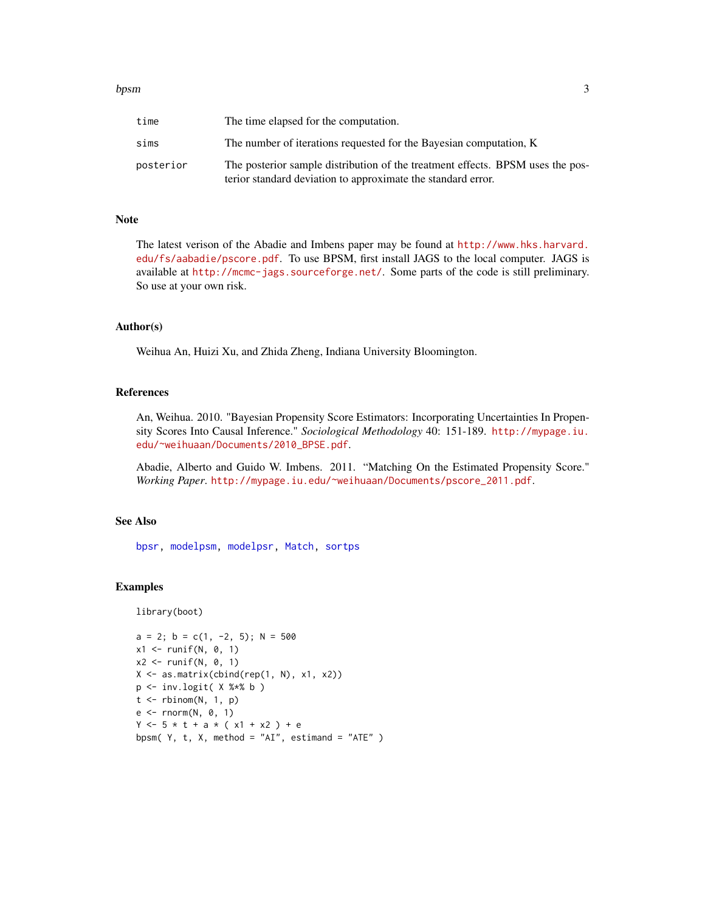#### <span id="page-2-0"></span>bpsm 3

| time      | The time elapsed for the computation.                                                                                                          |
|-----------|------------------------------------------------------------------------------------------------------------------------------------------------|
| sims      | The number of iterations requested for the Bayesian computation, K                                                                             |
| posterior | The posterior sample distribution of the treatment effects. BPSM uses the pos-<br>terior standard deviation to approximate the standard error. |

#### Note

The latest verison of the Abadie and Imbens paper may be found at [http://www.hks.harvard.](http://www.hks.harvard.edu/fs/aabadie/pscore.pdf) [edu/fs/aabadie/pscore.pdf](http://www.hks.harvard.edu/fs/aabadie/pscore.pdf). To use BPSM, first install JAGS to the local computer. JAGS is available at <http://mcmc-jags.sourceforge.net/>. Some parts of the code is still preliminary. So use at your own risk.

#### Author(s)

Weihua An, Huizi Xu, and Zhida Zheng, Indiana University Bloomington.

#### References

An, Weihua. 2010. "Bayesian Propensity Score Estimators: Incorporating Uncertainties In Propensity Scores Into Causal Inference." *Sociological Methodology* 40: 151-189. [http://mypage.iu.](http://mypage.iu.edu/~weihuaan/Documents/2010_BPSE.pdf) [edu/~weihuaan/Documents/2010\\_BPSE.pdf](http://mypage.iu.edu/~weihuaan/Documents/2010_BPSE.pdf).

Abadie, Alberto and Guido W. Imbens. 2011. "Matching On the Estimated Propensity Score." *Working Paper*. [http://mypage.iu.edu/~weihuaan/Documents/pscore\\_2011.pdf](http://mypage.iu.edu/~weihuaan/Documents/pscore_2011.pdf).

#### See Also

[bpsr,](#page-3-1) [modelpsm,](#page-4-1) [modelpsr,](#page-5-1) [Match,](#page-0-0) [sortps](#page-5-2)

#### Examples

library(boot)

```
a = 2; b = c(1, -2, 5); N = 500x1 \leftarrow runif(N, 0, 1)x2 \le runif(N, 0, 1)
X \leftarrow \text{as_matrix}(\text{cbind}(\text{rep}(1, N), x1, x2))p \leftarrow inv.logit( X %* % b )t \le rbinom(N, 1, p)
e <- rnorm(N, 0, 1)
Y \le -5 * t + a * (x1 + x2) + ebpsm(Y, t, X, method = "AI", estimand = "ATE")
```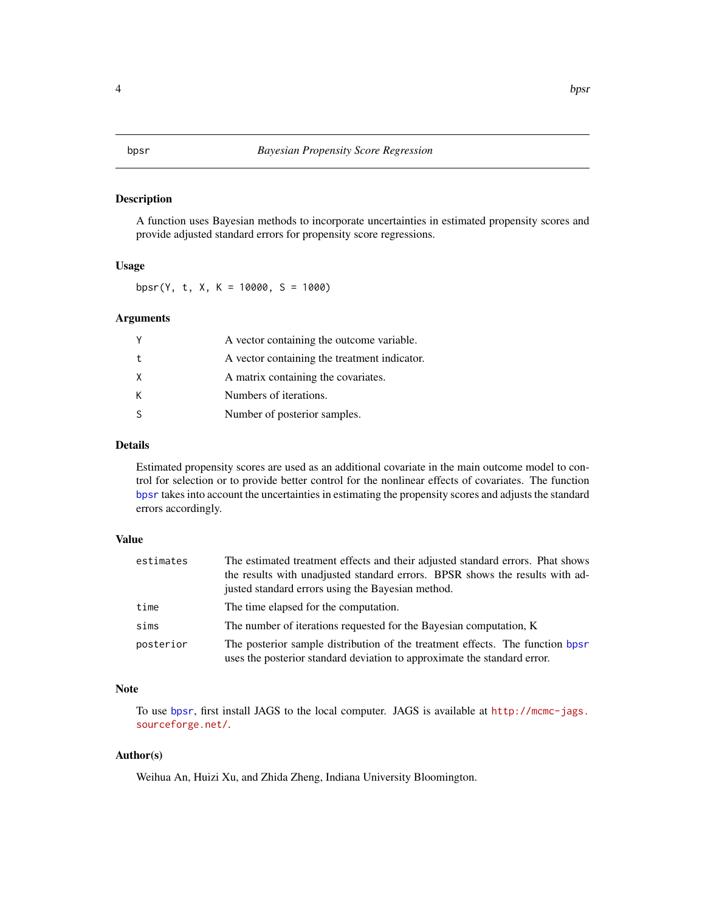#### <span id="page-3-1"></span><span id="page-3-0"></span>Description

A function uses Bayesian methods to incorporate uncertainties in estimated propensity scores and provide adjusted standard errors for propensity score regressions.

#### Usage

bpsr(Y, t, X, K = 10000, S = 1000)

#### Arguments

|   | A vector containing the outcome variable.    |
|---|----------------------------------------------|
| t | A vector containing the treatment indicator. |
|   | A matrix containing the covariates.          |
|   | Numbers of iterations.                       |
|   | Number of posterior samples.                 |
|   |                                              |

### Details

Estimated propensity scores are used as an additional covariate in the main outcome model to control for selection or to provide better control for the nonlinear effects of covariates. The function [bpsr](#page-3-1) takes into account the uncertainties in estimating the propensity scores and adjusts the standard errors accordingly.

#### Value

| estimates | The estimated treatment effects and their adjusted standard errors. Phat shows<br>the results with unadjusted standard errors. BPSR shows the results with ad-<br>justed standard errors using the Bayesian method. |
|-----------|---------------------------------------------------------------------------------------------------------------------------------------------------------------------------------------------------------------------|
| time      | The time elapsed for the computation.                                                                                                                                                                               |
| sims      | The number of iterations requested for the Bayesian computation, K                                                                                                                                                  |
| posterior | The posterior sample distribution of the treatment effects. The function bpsr<br>uses the posterior standard deviation to approximate the standard error.                                                           |

#### Note

To use [bpsr](#page-3-1), first install JAGS to the local computer. JAGS is available at [http://mcmc-jags.](http://mcmc-jags.sourceforge.net/) [sourceforge.net/](http://mcmc-jags.sourceforge.net/).

### Author(s)

Weihua An, Huizi Xu, and Zhida Zheng, Indiana University Bloomington.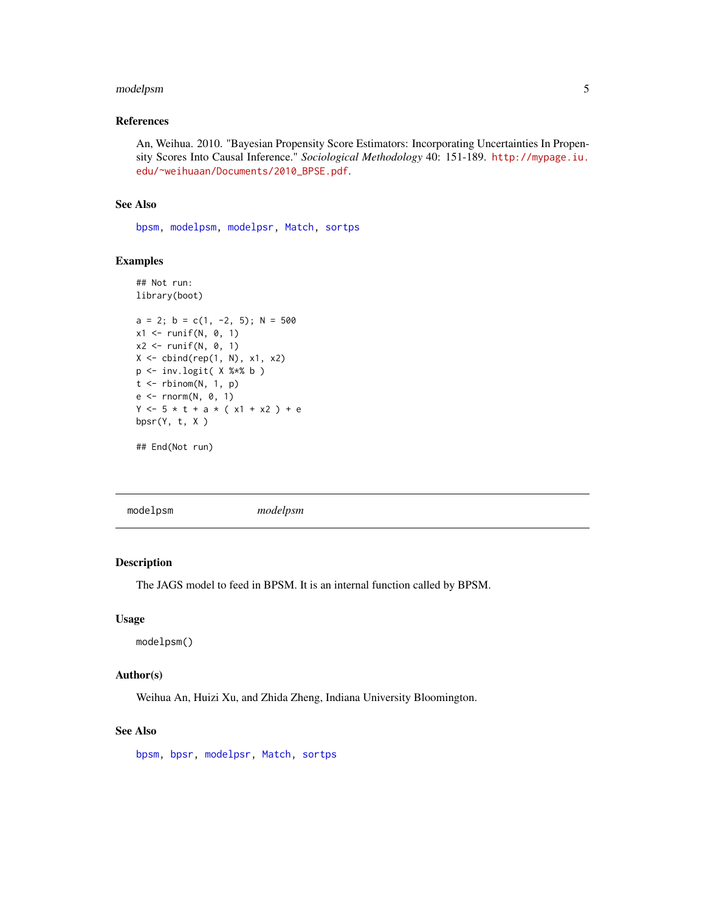#### <span id="page-4-0"></span>modelpsm 5

#### References

An, Weihua. 2010. "Bayesian Propensity Score Estimators: Incorporating Uncertainties In Propensity Scores Into Causal Inference." *Sociological Methodology* 40: 151-189. [http://mypage.iu.](http://mypage.iu.edu/~weihuaan/Documents/2010_BPSE.pdf) [edu/~weihuaan/Documents/2010\\_BPSE.pdf](http://mypage.iu.edu/~weihuaan/Documents/2010_BPSE.pdf).

#### See Also

[bpsm,](#page-1-1) [modelpsm,](#page-4-1) [modelpsr,](#page-5-1) [Match,](#page-0-0) [sortps](#page-5-2)

#### Examples

```
## Not run:
library(boot)
a = 2; b = c(1, -2, 5); N = 500x1 \leftarrow runif(N, 0, 1)x2 \le runif(N, 0, 1)
X \leftarrow \text{cbind}(\text{rep}(1, N), x1, x2)p <- inv.logit( X %*% b )
t \le rbinom(N, 1, p)
e <- rnorm(N, 0, 1)
Y \le -5 * t + a * (x1 + x2) + ebpsr(Y, t, X)## End(Not run)
```
<span id="page-4-1"></span>modelpsm *modelpsm*

#### Description

The JAGS model to feed in BPSM. It is an internal function called by BPSM.

#### Usage

modelpsm()

#### Author(s)

Weihua An, Huizi Xu, and Zhida Zheng, Indiana University Bloomington.

### See Also

[bpsm,](#page-1-1) [bpsr,](#page-3-1) [modelpsr,](#page-5-1) [Match,](#page-0-0) [sortps](#page-5-2)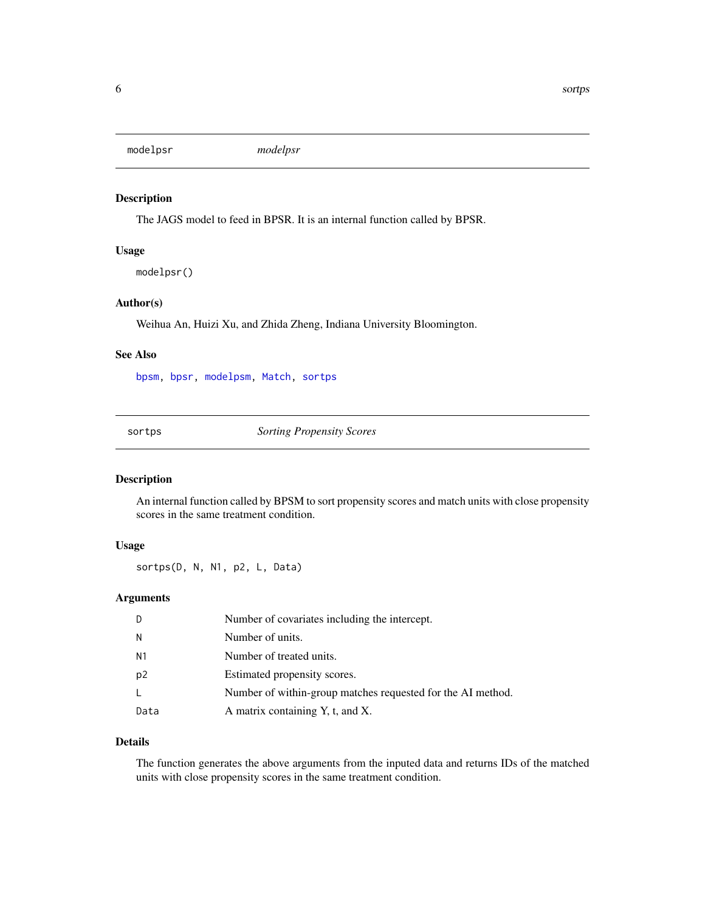<span id="page-5-1"></span><span id="page-5-0"></span>modelpsr *modelpsr*

#### Description

The JAGS model to feed in BPSR. It is an internal function called by BPSR.

#### Usage

modelpsr()

#### Author(s)

Weihua An, Huizi Xu, and Zhida Zheng, Indiana University Bloomington.

#### See Also

[bpsm,](#page-1-1) [bpsr,](#page-3-1) [modelpsm,](#page-4-1) [Match,](#page-0-0) [sortps](#page-5-2)

<span id="page-5-2"></span>sortps *Sorting Propensity Scores*

#### Description

An internal function called by BPSM to sort propensity scores and match units with close propensity scores in the same treatment condition.

### Usage

sortps(D, N, N1, p2, L, Data)

#### Arguments

| D              | Number of covariates including the intercept.               |
|----------------|-------------------------------------------------------------|
| N              | Number of units.                                            |
| N <sub>1</sub> | Number of treated units.                                    |
| p2             | Estimated propensity scores.                                |
| L              | Number of within-group matches requested for the AI method. |
| Data           | A matrix containing Y, t, and X.                            |

#### Details

The function generates the above arguments from the inputed data and returns IDs of the matched units with close propensity scores in the same treatment condition.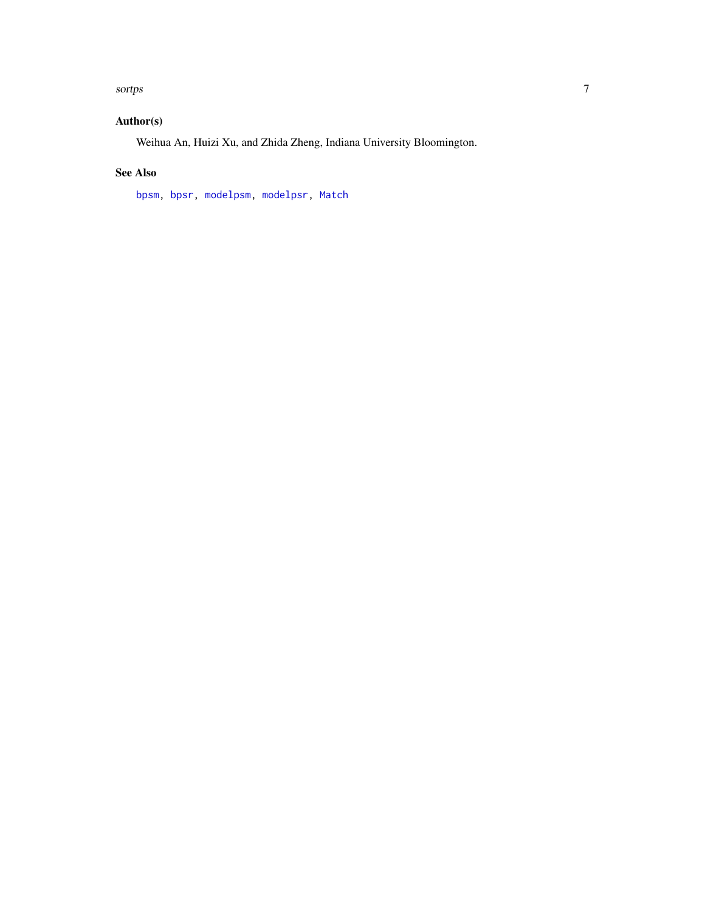#### <span id="page-6-0"></span>sortps  $\sim$  7

## Author(s)

Weihua An, Huizi Xu, and Zhida Zheng, Indiana University Bloomington.

#### See Also

[bpsm,](#page-1-1) [bpsr,](#page-3-1) [modelpsm,](#page-4-1) [modelpsr,](#page-5-1) [Match](#page-0-0)